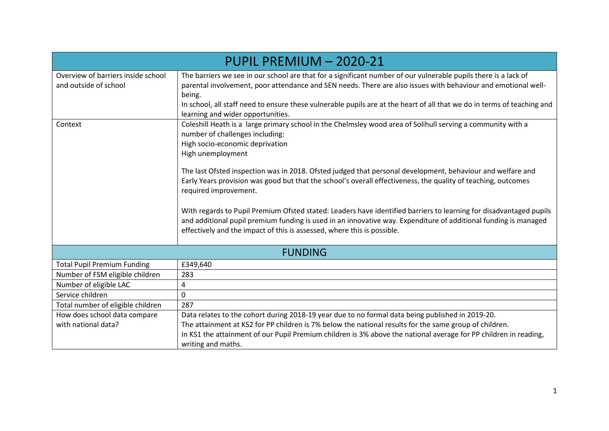|                                                             | PUPIL PREMIUM - 2020-21                                                                                                                                                                                                                                                                                                                                                                                    |  |  |  |  |  |  |
|-------------------------------------------------------------|------------------------------------------------------------------------------------------------------------------------------------------------------------------------------------------------------------------------------------------------------------------------------------------------------------------------------------------------------------------------------------------------------------|--|--|--|--|--|--|
| Overview of barriers inside school<br>and outside of school | The barriers we see in our school are that for a significant number of our vulnerable pupils there is a lack of<br>parental involvement, poor attendance and SEN needs. There are also issues with behaviour and emotional well-<br>being.<br>In school, all staff need to ensure these vulnerable pupils are at the heart of all that we do in terms of teaching and<br>learning and wider opportunities. |  |  |  |  |  |  |
| Context                                                     | Coleshill Heath is a large primary school in the Chelmsley wood area of Solihull serving a community with a<br>number of challenges including:<br>High socio-economic deprivation<br>High unemployment                                                                                                                                                                                                     |  |  |  |  |  |  |
|                                                             | The last Ofsted inspection was in 2018. Ofsted judged that personal development, behaviour and welfare and<br>Early Years provision was good but that the school's overall effectiveness, the quality of teaching, outcomes<br>required improvement.                                                                                                                                                       |  |  |  |  |  |  |
|                                                             | With regards to Pupil Premium Ofsted stated: Leaders have identified barriers to learning for disadvantaged pupils<br>and additional pupil premium funding is used in an innovative way. Expenditure of additional funding is managed<br>effectively and the impact of this is assessed, where this is possible.                                                                                           |  |  |  |  |  |  |
|                                                             | <b>FUNDING</b>                                                                                                                                                                                                                                                                                                                                                                                             |  |  |  |  |  |  |
| <b>Total Pupil Premium Funding</b>                          | £349,640                                                                                                                                                                                                                                                                                                                                                                                                   |  |  |  |  |  |  |
| Number of FSM eligible children                             | 283                                                                                                                                                                                                                                                                                                                                                                                                        |  |  |  |  |  |  |
| Number of eligible LAC                                      | 4                                                                                                                                                                                                                                                                                                                                                                                                          |  |  |  |  |  |  |
| Service children                                            | $\mathbf 0$                                                                                                                                                                                                                                                                                                                                                                                                |  |  |  |  |  |  |
| Total number of eligible children                           | 287                                                                                                                                                                                                                                                                                                                                                                                                        |  |  |  |  |  |  |
| How does school data compare                                | Data relates to the cohort during 2018-19 year due to no formal data being published in 2019-20.                                                                                                                                                                                                                                                                                                           |  |  |  |  |  |  |
| with national data?                                         | The attainment at KS2 for PP children is 7% below the national results for the same group of children.<br>In KS1 the attainment of our Pupil Premium children is 3% above the national average for PP children in reading,<br>writing and maths.                                                                                                                                                           |  |  |  |  |  |  |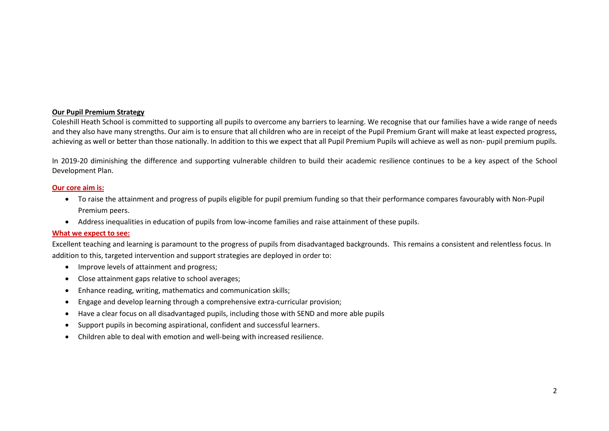## **Our Pupil Premium Strategy**

Coleshill Heath School is committed to supporting all pupils to overcome any barriers to learning. We recognise that our families have a wide range of needs and they also have many strengths. Our aim is to ensure that all children who are in receipt of the Pupil Premium Grant will make at least expected progress, achieving as well or better than those nationally. In addition to this we expect that all Pupil Premium Pupils will achieve as well as non- pupil premium pupils.

In 2019-20 diminishing the difference and supporting vulnerable children to build their academic resilience continues to be a key aspect of the School Development Plan.

## **Our core aim is:**

- To raise the attainment and progress of pupils eligible for pupil premium funding so that their performance compares favourably with Non-Pupil Premium peers.
- Address inequalities in education of pupils from low-income families and raise attainment of these pupils.

## **What we expect to see:**

Excellent teaching and learning is paramount to the progress of pupils from disadvantaged backgrounds. This remains a consistent and relentless focus. In addition to this, targeted intervention and support strategies are deployed in order to:

- Improve levels of attainment and progress;
- Close attainment gaps relative to school averages;
- Enhance reading, writing, mathematics and communication skills;
- Engage and develop learning through a comprehensive extra-curricular provision;
- Have a clear focus on all disadvantaged pupils, including those with SEND and more able pupils
- Support pupils in becoming aspirational, confident and successful learners.
- Children able to deal with emotion and well-being with increased resilience.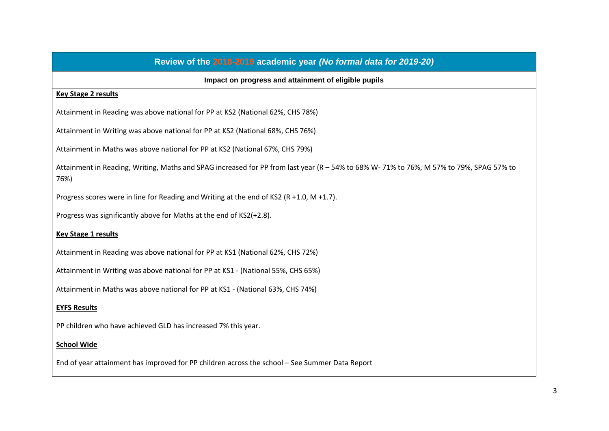| Review of the 2018-2019 academic year (No formal data for 2019-20)                                                                             |
|------------------------------------------------------------------------------------------------------------------------------------------------|
| Impact on progress and attainment of eligible pupils                                                                                           |
| <b>Key Stage 2 results</b>                                                                                                                     |
| Attainment in Reading was above national for PP at KS2 (National 62%, CHS 78%)                                                                 |
| Attainment in Writing was above national for PP at KS2 (National 68%, CHS 76%)                                                                 |
| Attainment in Maths was above national for PP at KS2 (National 67%, CHS 79%)                                                                   |
| Attainment in Reading, Writing, Maths and SPAG increased for PP from last year (R - 54% to 68% W-71% to 76%, M 57% to 79%, SPAG 57% to<br>76%) |
| Progress scores were in line for Reading and Writing at the end of KS2 (R +1.0, M +1.7).                                                       |
| Progress was significantly above for Maths at the end of KS2(+2.8).                                                                            |
| <b>Key Stage 1 results</b>                                                                                                                     |
| Attainment in Reading was above national for PP at KS1 (National 62%, CHS 72%)                                                                 |
| Attainment in Writing was above national for PP at KS1 - (National 55%, CHS 65%)                                                               |
| Attainment in Maths was above national for PP at KS1 - (National 63%, CHS 74%)                                                                 |
| <b>EYFS Results</b>                                                                                                                            |
| PP children who have achieved GLD has increased 7% this year.                                                                                  |
| <b>School Wide</b>                                                                                                                             |
| End of year attainment has improved for PP children across the school - See Summer Data Report                                                 |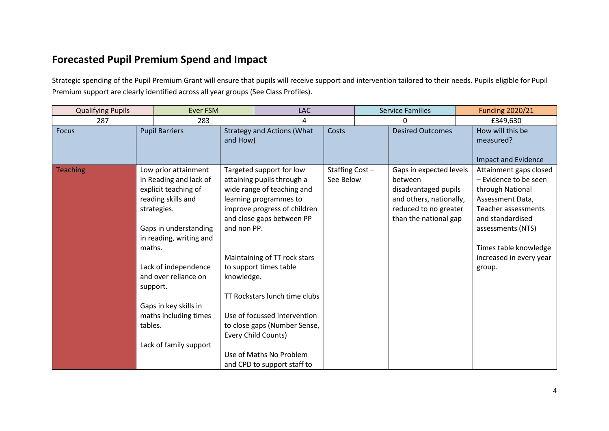## **Forecasted Pupil Premium Spend and Impact**

Strategic spending of the Pupil Premium Grant will ensure that pupils will receive support and intervention tailored to their needs. Pupils eligible for Pupil Premium support are clearly identified across all year groups (See Class Profiles).

| <b>Qualifying Pupils</b> |                               | <b>Ever FSM</b>                                                                                                                                                                                                                                                                             |                           | LAC                                                                                                                                                                                                                                                                                                                                                                                                                     |                             | <b>Service Families</b> |                                                                                                                                         | <b>Funding 2020/21</b>                                                                                                                                                                                                       |
|--------------------------|-------------------------------|---------------------------------------------------------------------------------------------------------------------------------------------------------------------------------------------------------------------------------------------------------------------------------------------|---------------------------|-------------------------------------------------------------------------------------------------------------------------------------------------------------------------------------------------------------------------------------------------------------------------------------------------------------------------------------------------------------------------------------------------------------------------|-----------------------------|-------------------------|-----------------------------------------------------------------------------------------------------------------------------------------|------------------------------------------------------------------------------------------------------------------------------------------------------------------------------------------------------------------------------|
| 287                      |                               | 283                                                                                                                                                                                                                                                                                         |                           | 4                                                                                                                                                                                                                                                                                                                                                                                                                       |                             |                         | 0                                                                                                                                       | £349,630                                                                                                                                                                                                                     |
| <b>Focus</b>             |                               | <b>Pupil Barriers</b>                                                                                                                                                                                                                                                                       | and How)                  | <b>Strategy and Actions (What</b>                                                                                                                                                                                                                                                                                                                                                                                       | Costs                       |                         | <b>Desired Outcomes</b>                                                                                                                 | How will this be<br>measured?<br><b>Impact and Evidence</b>                                                                                                                                                                  |
| <b>Teaching</b>          | maths.<br>support.<br>tables. | Low prior attainment<br>in Reading and lack of<br>explicit teaching of<br>reading skills and<br>strategies.<br>Gaps in understanding<br>in reading, writing and<br>Lack of independence<br>and over reliance on<br>Gaps in key skills in<br>maths including times<br>Lack of family support | and non PP.<br>knowledge. | Targeted support for low<br>attaining pupils through a<br>wide range of teaching and<br>learning programmes to<br>improve progress of children<br>and close gaps between PP<br>Maintaining of TT rock stars<br>to support times table<br>TT Rockstars lunch time clubs<br>Use of focussed intervention<br>to close gaps (Number Sense,<br>Every Child Counts)<br>Use of Maths No Problem<br>and CPD to support staff to | Staffing Cost-<br>See Below |                         | Gaps in expected levels<br>between<br>disadvantaged pupils<br>and others, nationally,<br>reduced to no greater<br>than the national gap | Attainment gaps closed<br>- Evidence to be seen<br>through National<br>Assessment Data,<br><b>Teacher assessments</b><br>and standardised<br>assessments (NTS)<br>Times table knowledge<br>increased in every year<br>group. |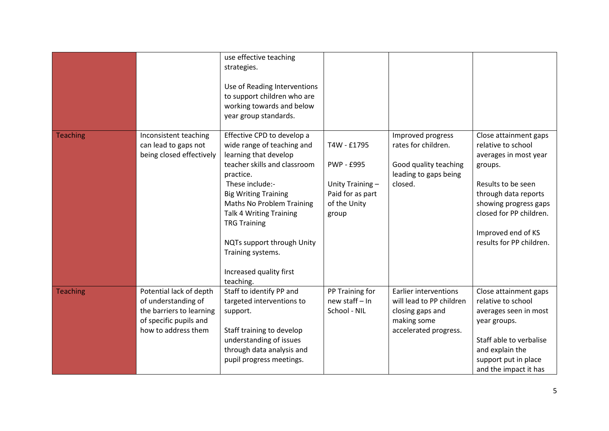|                 |                                                                                                                             | use effective teaching<br>strategies.<br>Use of Reading Interventions<br>to support children who are<br>working towards and below<br>year group standards.                                                                                                                                                                                                        |                                                                                                  |                                                                                                               |                                                                                                                                                                                                                                     |
|-----------------|-----------------------------------------------------------------------------------------------------------------------------|-------------------------------------------------------------------------------------------------------------------------------------------------------------------------------------------------------------------------------------------------------------------------------------------------------------------------------------------------------------------|--------------------------------------------------------------------------------------------------|---------------------------------------------------------------------------------------------------------------|-------------------------------------------------------------------------------------------------------------------------------------------------------------------------------------------------------------------------------------|
| <b>Teaching</b> | Inconsistent teaching<br>can lead to gaps not<br>being closed effectively                                                   | Effective CPD to develop a<br>wide range of teaching and<br>learning that develop<br>teacher skills and classroom<br>practice.<br>These include:-<br><b>Big Writing Training</b><br>Maths No Problem Training<br><b>Talk 4 Writing Training</b><br><b>TRG Training</b><br>NQTs support through Unity<br>Training systems.<br>Increased quality first<br>teaching. | T4W - £1795<br><b>PWP - £995</b><br>Unity Training-<br>Paid for as part<br>of the Unity<br>group | Improved progress<br>rates for children.<br>Good quality teaching<br>leading to gaps being<br>closed.         | Close attainment gaps<br>relative to school<br>averages in most year<br>groups.<br>Results to be seen<br>through data reports<br>showing progress gaps<br>closed for PP children.<br>Improved end of KS<br>results for PP children. |
| <b>Teaching</b> | Potential lack of depth<br>of understanding of<br>the barriers to learning<br>of specific pupils and<br>how to address them | Staff to identify PP and<br>targeted interventions to<br>support.<br>Staff training to develop<br>understanding of issues<br>through data analysis and<br>pupil progress meetings.                                                                                                                                                                                | PP Training for<br>new staff - In<br>School - NIL                                                | Earlier interventions<br>will lead to PP children<br>closing gaps and<br>making some<br>accelerated progress. | Close attainment gaps<br>relative to school<br>averages seen in most<br>year groups.<br>Staff able to verbalise<br>and explain the<br>support put in place<br>and the impact it has                                                 |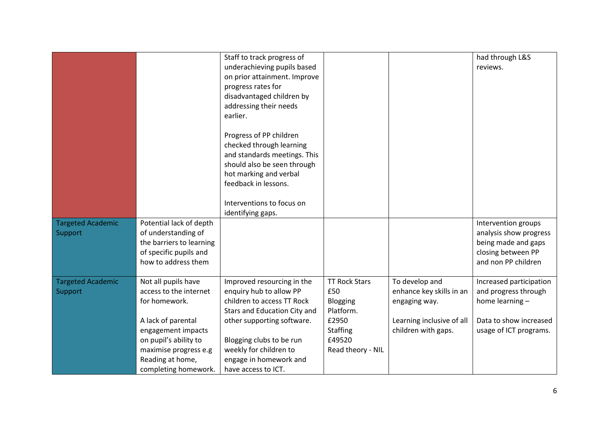|                          |                          | Staff to track progress of   |                      |                           | had through L&S         |
|--------------------------|--------------------------|------------------------------|----------------------|---------------------------|-------------------------|
|                          |                          | underachieving pupils based  |                      |                           | reviews.                |
|                          |                          | on prior attainment. Improve |                      |                           |                         |
|                          |                          | progress rates for           |                      |                           |                         |
|                          |                          | disadvantaged children by    |                      |                           |                         |
|                          |                          | addressing their needs       |                      |                           |                         |
|                          |                          | earlier.                     |                      |                           |                         |
|                          |                          |                              |                      |                           |                         |
|                          |                          | Progress of PP children      |                      |                           |                         |
|                          |                          | checked through learning     |                      |                           |                         |
|                          |                          | and standards meetings. This |                      |                           |                         |
|                          |                          | should also be seen through  |                      |                           |                         |
|                          |                          | hot marking and verbal       |                      |                           |                         |
|                          |                          | feedback in lessons.         |                      |                           |                         |
|                          |                          |                              |                      |                           |                         |
|                          |                          | Interventions to focus on    |                      |                           |                         |
|                          |                          | identifying gaps.            |                      |                           |                         |
| <b>Targeted Academic</b> | Potential lack of depth  |                              |                      |                           | Intervention groups     |
| Support                  | of understanding of      |                              |                      |                           | analysis show progress  |
|                          | the barriers to learning |                              |                      |                           | being made and gaps     |
|                          | of specific pupils and   |                              |                      |                           | closing between PP      |
|                          | how to address them      |                              |                      |                           | and non PP children     |
|                          |                          |                              |                      |                           |                         |
| <b>Targeted Academic</b> | Not all pupils have      | Improved resourcing in the   | <b>TT Rock Stars</b> | To develop and            | Increased participation |
| Support                  | access to the internet   | enquiry hub to allow PP      | £50                  | enhance key skills in an  | and progress through    |
|                          | for homework.            | children to access TT Rock   | Blogging             | engaging way.             | home learning -         |
|                          |                          | Stars and Education City and | Platform.            |                           |                         |
|                          | A lack of parental       | other supporting software.   | £2950                | Learning inclusive of all | Data to show increased  |
|                          | engagement impacts       |                              | <b>Staffing</b>      | children with gaps.       | usage of ICT programs.  |
|                          | on pupil's ability to    | Blogging clubs to be run     | £49520               |                           |                         |
|                          |                          |                              |                      |                           |                         |
|                          | maximise progress e.g    | weekly for children to       | Read theory - NIL    |                           |                         |
|                          | Reading at home,         | engage in homework and       |                      |                           |                         |
|                          | completing homework.     | have access to ICT.          |                      |                           |                         |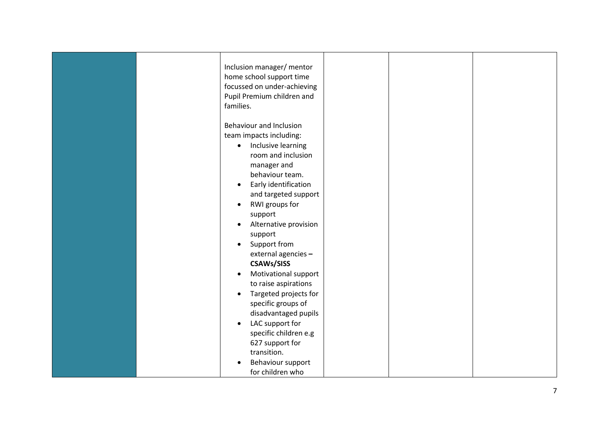|  | Inclusion manager/ mentor<br>home school support time<br>focussed on under-achieving<br>Pupil Premium children and<br>families.<br>Behaviour and Inclusion<br>team impacts including:<br>Inclusive learning<br>$\bullet$<br>room and inclusion<br>manager and<br>behaviour team.<br>Early identification<br>$\bullet$<br>and targeted support<br>RWI groups for<br>$\bullet$<br>support<br>Alternative provision<br>support<br>Support from<br>external agencies -<br><b>CSAWs/SISS</b><br>Motivational support<br>to raise aspirations<br>Targeted projects for<br>$\bullet$ |  |  |
|--|-------------------------------------------------------------------------------------------------------------------------------------------------------------------------------------------------------------------------------------------------------------------------------------------------------------------------------------------------------------------------------------------------------------------------------------------------------------------------------------------------------------------------------------------------------------------------------|--|--|
|  |                                                                                                                                                                                                                                                                                                                                                                                                                                                                                                                                                                               |  |  |
|  | specific groups of<br>disadvantaged pupils<br>LAC support for<br>$\bullet$                                                                                                                                                                                                                                                                                                                                                                                                                                                                                                    |  |  |
|  | specific children e.g<br>627 support for<br>transition.                                                                                                                                                                                                                                                                                                                                                                                                                                                                                                                       |  |  |
|  | Behaviour support<br>for children who                                                                                                                                                                                                                                                                                                                                                                                                                                                                                                                                         |  |  |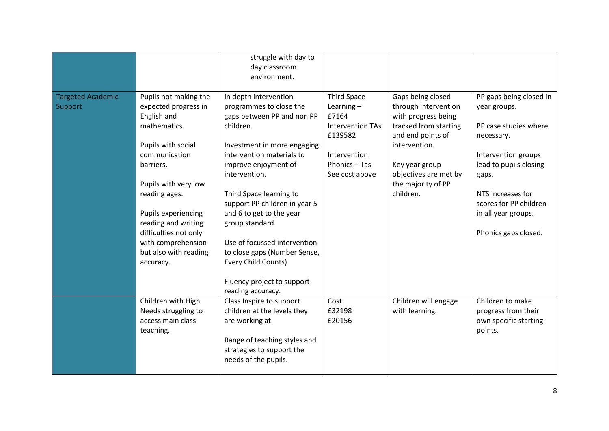|                                     |                                                                                                                                                                                                                                                                                                              | struggle with day to<br>day classroom<br>environment.                                                                                                                                                                                                                                                                                                                                                                                                 |                                                                                                                                      |                                                                                                                                                                                                               |                                                                                                                                                                                                                                        |
|-------------------------------------|--------------------------------------------------------------------------------------------------------------------------------------------------------------------------------------------------------------------------------------------------------------------------------------------------------------|-------------------------------------------------------------------------------------------------------------------------------------------------------------------------------------------------------------------------------------------------------------------------------------------------------------------------------------------------------------------------------------------------------------------------------------------------------|--------------------------------------------------------------------------------------------------------------------------------------|---------------------------------------------------------------------------------------------------------------------------------------------------------------------------------------------------------------|----------------------------------------------------------------------------------------------------------------------------------------------------------------------------------------------------------------------------------------|
| <b>Targeted Academic</b><br>Support | Pupils not making the<br>expected progress in<br>English and<br>mathematics.<br>Pupils with social<br>communication<br>barriers.<br>Pupils with very low<br>reading ages.<br>Pupils experiencing<br>reading and writing<br>difficulties not only<br>with comprehension<br>but also with reading<br>accuracy. | In depth intervention<br>programmes to close the<br>gaps between PP and non PP<br>children.<br>Investment in more engaging<br>intervention materials to<br>improve enjoyment of<br>intervention.<br>Third Space learning to<br>support PP children in year 5<br>and 6 to get to the year<br>group standard.<br>Use of focussed intervention<br>to close gaps (Number Sense,<br>Every Child Counts)<br>Fluency project to support<br>reading accuracy. | <b>Third Space</b><br>Learning $-$<br>£7164<br><b>Intervention TAs</b><br>£139582<br>Intervention<br>Phonics - Tas<br>See cost above | Gaps being closed<br>through intervention<br>with progress being<br>tracked from starting<br>and end points of<br>intervention.<br>Key year group<br>objectives are met by<br>the majority of PP<br>children. | PP gaps being closed in<br>year groups.<br>PP case studies where<br>necessary.<br>Intervention groups<br>lead to pupils closing<br>gaps.<br>NTS increases for<br>scores for PP children<br>in all year groups.<br>Phonics gaps closed. |
|                                     | Children with High<br>Needs struggling to<br>access main class<br>teaching.                                                                                                                                                                                                                                  | Class Inspire to support<br>children at the levels they<br>are working at.<br>Range of teaching styles and<br>strategies to support the<br>needs of the pupils.                                                                                                                                                                                                                                                                                       | Cost<br>£32198<br>£20156                                                                                                             | Children will engage<br>with learning.                                                                                                                                                                        | Children to make<br>progress from their<br>own specific starting<br>points.                                                                                                                                                            |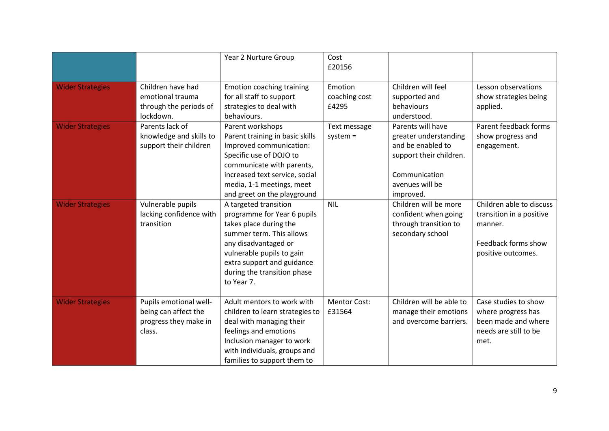|                         |                                                                                   | Year 2 Nurture Group                                                                                                                                                                                                                       | Cost<br>£20156                    |                                                                                                                                             |                                                                                                              |
|-------------------------|-----------------------------------------------------------------------------------|--------------------------------------------------------------------------------------------------------------------------------------------------------------------------------------------------------------------------------------------|-----------------------------------|---------------------------------------------------------------------------------------------------------------------------------------------|--------------------------------------------------------------------------------------------------------------|
| <b>Wider Strategies</b> | Children have had<br>emotional trauma<br>through the periods of<br>lockdown.      | <b>Emotion coaching training</b><br>for all staff to support<br>strategies to deal with<br>behaviours.                                                                                                                                     | Emotion<br>coaching cost<br>£4295 | Children will feel<br>supported and<br>behaviours<br>understood.                                                                            | Lesson observations<br>show strategies being<br>applied.                                                     |
| <b>Wider Strategies</b> | Parents lack of<br>knowledge and skills to<br>support their children              | Parent workshops<br>Parent training in basic skills<br>Improved communication:<br>Specific use of DOJO to<br>communicate with parents,<br>increased text service, social<br>media, 1-1 meetings, meet<br>and greet on the playground       | Text message<br>$system =$        | Parents will have<br>greater understanding<br>and be enabled to<br>support their children.<br>Communication<br>avenues will be<br>improved. | Parent feedback forms<br>show progress and<br>engagement.                                                    |
| <b>Wider Strategies</b> | Vulnerable pupils<br>lacking confidence with<br>transition                        | A targeted transition<br>programme for Year 6 pupils<br>takes place during the<br>summer term. This allows<br>any disadvantaged or<br>vulnerable pupils to gain<br>extra support and guidance<br>during the transition phase<br>to Year 7. | <b>NIL</b>                        | Children will be more<br>confident when going<br>through transition to<br>secondary school                                                  | Children able to discuss<br>transition in a positive<br>manner.<br>Feedback forms show<br>positive outcomes. |
| <b>Wider Strategies</b> | Pupils emotional well-<br>being can affect the<br>progress they make in<br>class. | Adult mentors to work with<br>children to learn strategies to<br>deal with managing their<br>feelings and emotions<br>Inclusion manager to work<br>with individuals, groups and<br>families to support them to                             | <b>Mentor Cost:</b><br>£31564     | Children will be able to<br>manage their emotions<br>and overcome barriers.                                                                 | Case studies to show<br>where progress has<br>been made and where<br>needs are still to be<br>met.           |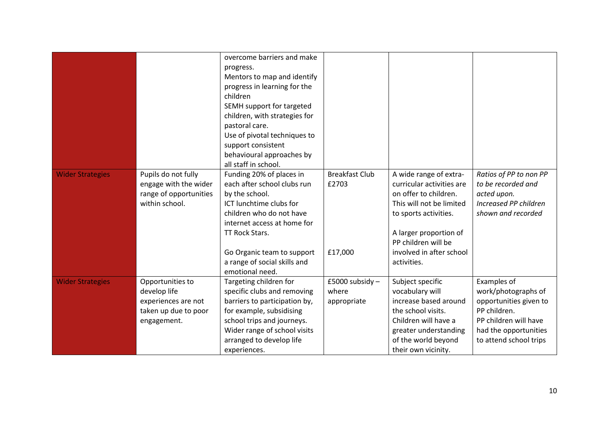|                         |                        | overcome barriers and make    |                       |                           |                        |
|-------------------------|------------------------|-------------------------------|-----------------------|---------------------------|------------------------|
|                         |                        | progress.                     |                       |                           |                        |
|                         |                        | Mentors to map and identify   |                       |                           |                        |
|                         |                        | progress in learning for the  |                       |                           |                        |
|                         |                        | children                      |                       |                           |                        |
|                         |                        | SEMH support for targeted     |                       |                           |                        |
|                         |                        | children, with strategies for |                       |                           |                        |
|                         |                        | pastoral care.                |                       |                           |                        |
|                         |                        | Use of pivotal techniques to  |                       |                           |                        |
|                         |                        | support consistent            |                       |                           |                        |
|                         |                        | behavioural approaches by     |                       |                           |                        |
|                         |                        | all staff in school.          |                       |                           |                        |
| <b>Wider Strategies</b> | Pupils do not fully    | Funding 20% of places in      | <b>Breakfast Club</b> | A wide range of extra-    | Ratios of PP to non PP |
|                         | engage with the wider  | each after school clubs run   | £2703                 | curricular activities are | to be recorded and     |
|                         | range of opportunities | by the school.                |                       | on offer to children.     | acted upon.            |
|                         | within school.         | ICT lunchtime clubs for       |                       | This will not be limited  | Increased PP children  |
|                         |                        | children who do not have      |                       | to sports activities.     | shown and recorded     |
|                         |                        | internet access at home for   |                       |                           |                        |
|                         |                        | TT Rock Stars.                |                       | A larger proportion of    |                        |
|                         |                        |                               |                       | PP children will be       |                        |
|                         |                        | Go Organic team to support    | £17,000               | involved in after school  |                        |
|                         |                        | a range of social skills and  |                       | activities.               |                        |
|                         |                        | emotional need.               |                       |                           |                        |
| <b>Wider Strategies</b> | Opportunities to       | Targeting children for        | £5000 subsidy -       | Subject specific          | Examples of            |
|                         | develop life           | specific clubs and removing   | where                 | vocabulary will           | work/photographs of    |
|                         | experiences are not    | barriers to participation by, | appropriate           | increase based around     | opportunities given to |
|                         | taken up due to poor   | for example, subsidising      |                       | the school visits.        | PP children.           |
|                         | engagement.            | school trips and journeys.    |                       | Children will have a      | PP children will have  |
|                         |                        | Wider range of school visits  |                       | greater understanding     | had the opportunities  |
|                         |                        | arranged to develop life      |                       | of the world beyond       | to attend school trips |
|                         |                        | experiences.                  |                       | their own vicinity.       |                        |